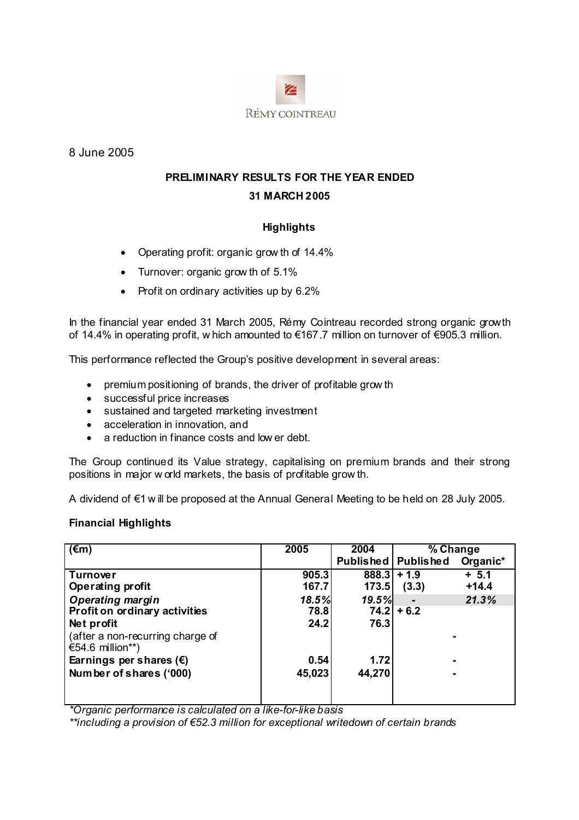

8 June 2005

# **PRELIMINARY RESULTS FOR THE YEAR ENDED 31 MARCH 2005**

# **Highlights**

- Operating profit: organic grow th of 14.4%
- Turnover: organic grow th of 5.1%
- Profit on ordinary activities up by 6.2%

In the financial year ended 31 March 2005, Rémy Cointreau recorded strong organic growth of 14.4% in operating profit, w hich amounted to €167.7 million on turnover of €905.3 million.

This performance reflected the Group's positive development in several areas:

- premium positioning of brands, the driver of profitable grow th
- successful price increases
- sustained and targeted marketing investment
- acceleration in innovation, and
- a reduction in finance costs and low er debt.

The Group continued its Value strategy, capitalising on premium brands and their strong positions in major w orld markets, the basis of profitable grow th.

A dividend of €1 w ill be proposed at the Annual General Meeting to be held on 28 July 2005.

# **Financial Highlights**

| $(\epsilon m)$                                       | 2005   | 2004   | % Change              |          |
|------------------------------------------------------|--------|--------|-----------------------|----------|
|                                                      |        |        | Published   Published | Organic* |
| <b>Turnover</b>                                      | 905.3  | 888.3  | $+1.9$                | $+ 5.1$  |
| <b>Operating profit</b>                              | 167.7  | 173.5  | (3.3)                 | $+14.4$  |
| <b>Operating margin</b>                              | 18.5%  | 19.5%  |                       | 21.3%    |
| Profit on ordinary activities                        | 78.8   |        | $74.2$ + 6.2          |          |
| Net profit                                           | 24.2   | 76.3   |                       |          |
| (after a non-recurring charge of<br>€54.6 million**) |        |        |                       |          |
| Earnings per shares $(\epsilon)$                     | 0.54   | 1.72   |                       |          |
| Number of shares ('000)                              | 45,023 | 44,270 |                       |          |
|                                                      |        |        |                       |          |
|                                                      |        |        |                       |          |

*\*Organic performance is calculated on a like-for-like basis* 

*\*\*including a provision of €52.3 million for exceptional writedown of certain brands*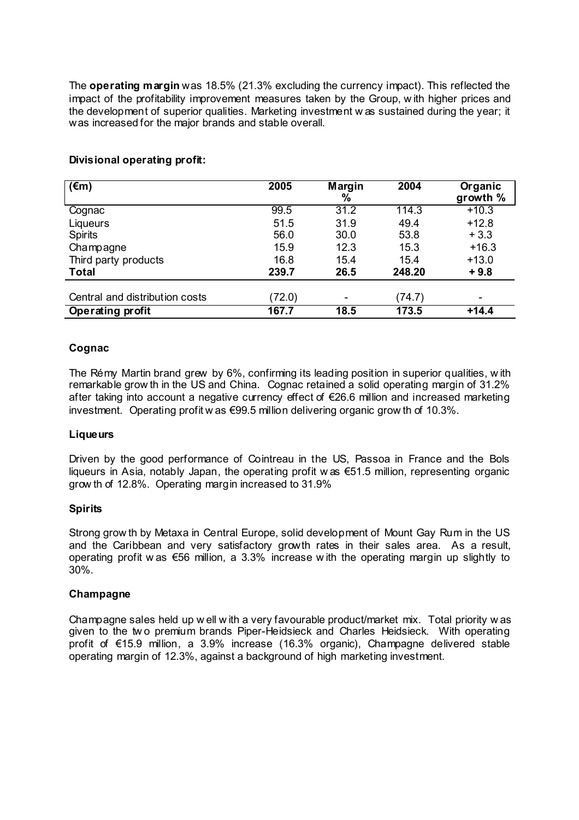The **operating margin** was 18.5% (21.3% excluding the currency impact). This reflected the impact of the profitability improvement measures taken by the Group, w ith higher prices and the development of superior qualities. Marketing investment w as sustained during the year; it was increased for the major brands and stable overall.

| $\overline{(\epsilon m)}$      | 2005   | Margin | 2004   | Organic  |
|--------------------------------|--------|--------|--------|----------|
|                                |        | %      |        | growth % |
| Cognac                         | 99.5   | 31.2   | 114.3  | $+10.3$  |
| Liqueurs                       | 51.5   | 31.9   | 49.4   | $+12.8$  |
| <b>Spirits</b>                 | 56.0   | 30.0   | 53.8   | $+3.3$   |
| Champagne                      | 15.9   | 12.3   | 15.3   | $+16.3$  |
| Third party products           | 16.8   | 15.4   | 15.4   | $+13.0$  |
| <b>Total</b>                   | 239.7  | 26.5   | 248.20 | $+9.8$   |
|                                |        |        |        |          |
| Central and distribution costs | (72.0) | -      | (74.7) |          |
| Operating profit               | 167.7  | 18.5   | 173.5  | $+14.4$  |

## **Divisional operating profit:**

## **Cognac**

The Rémy Martin brand grew by 6%, confirming its leading position in superior qualities, w ith remarkable grow th in the US and China. Cognac retained a solid operating margin of 31.2% after taking into account a negative currency effect of €26.6 million and increased marketing investment. Operating profit w as €99.5 million delivering organic grow th of 10.3%.

## **Liqueurs**

Driven by the good performance of Cointreau in the US, Passoa in France and the Bols liqueurs in Asia, notably Japan, the operating profit w as €51.5 million, representing organic grow th of 12.8%. Operating margin increased to 31.9%

## **Spirits**

Strong grow th by Metaxa in Central Europe, solid development of Mount Gay Rum in the US and the Caribbean and very satisfactory growth rates in their sales area. As a result, operating profit w as €56 million, a 3.3% increase w ith the operating margin up slightly to 30%.

## **Champagne**

Champagne sales held up w ell w ith a very favourable product/market mix. Total priority w as given to the tw o premium brands Piper-Heidsieck and Charles Heidsieck. With operating profit of €15.9 million, a 3.9% increase (16.3% organic), Champagne delivered stable operating margin of 12.3%, against a background of high marketing investment.